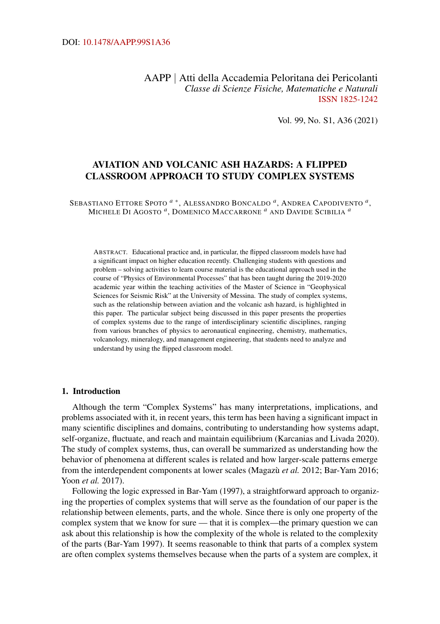AAPP | Atti della Accademia Peloritana dei Pericolanti *Classe di Scienze Fisiche, Matematiche e Naturali* [ISSN 1825-1242](http://dx.doi.org/10.1478/18251242)

Vol. 99, No. S1, A36 (2021)

# AVIATION AND VOLCANIC ASH HAZARDS: A FLIPPED CLASSROOM APPROACH TO STUDY COMPLEX SYSTEMS

SEBASTIANO ETTORE SPOTO *[a](#page-7-0)* [∗](#page-7-0) , ALESSANDRO BONCALDO *[a](#page-7-0)* , ANDREA CAPODIVENTO *[a](#page-7-0)* , MICHELE D<sup>I</sup> AGOSTO *[a](#page-7-0)* , DOMENICO MACCARRONE *[a](#page-7-0)* AND DAVIDE SCIBILIA *[a](#page-7-0)*

ABSTRACT. Educational practice and, in particular, the flipped classroom models have had a significant impact on higher education recently. Challenging students with questions and problem – solving activities to learn course material is the educational approach used in the course of "Physics of Environmental Processes" that has been taught during the 2019-2020 academic year within the teaching activities of the Master of Science in "Geophysical Sciences for Seismic Risk" at the University of Messina. The study of complex systems, such as the relationship between aviation and the volcanic ash hazard, is highlighted in this paper. The particular subject being discussed in this paper presents the properties of complex systems due to the range of interdisciplinary scientific disciplines, ranging from various branches of physics to aeronautical engineering, chemistry, mathematics, volcanology, mineralogy, and management engineering, that students need to analyze and understand by using the flipped classroom model.

#### 1. Introduction

Although the term "Complex Systems" has many interpretations, implications, and problems associated with it, in recent years, this term has been having a significant impact in many scientific disciplines and domains, contributing to understanding how systems adapt, self-organize, fluctuate, and reach and maintain equilibrium (Karcanias and Livada [2020\)](#page-8-0). The study of complex systems, thus, can overall be summarized as understanding how the behavior of phenomena at different scales is related and how larger-scale patterns emerge from the interdependent components at lower scales (Magazù *et al.* [2012;](#page-8-1) Bar-Yam [2016;](#page-7-1) Yoon *et al.* [2017\)](#page-8-2).

Following the logic expressed in Bar-Yam [\(1997\)](#page-7-2), a straightforward approach to organizing the properties of complex systems that will serve as the foundation of our paper is the relationship between elements, parts, and the whole. Since there is only one property of the complex system that we know for sure — that it is complex—the primary question we can ask about this relationship is how the complexity of the whole is related to the complexity of the parts (Bar-Yam [1997\)](#page-7-2). It seems reasonable to think that parts of a complex system are often complex systems themselves because when the parts of a system are complex, it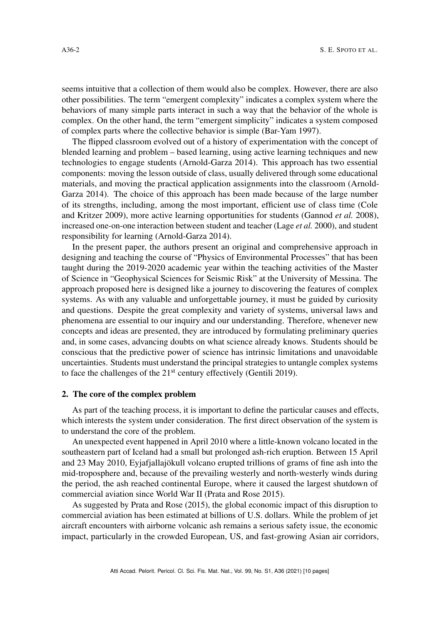seems intuitive that a collection of them would also be complex. However, there are also other possibilities. The term "emergent complexity" indicates a complex system where the behaviors of many simple parts interact in such a way that the behavior of the whole is complex. On the other hand, the term "emergent simplicity" indicates a system composed of complex parts where the collective behavior is simple (Bar-Yam [1997\)](#page-7-2).

The flipped classroom evolved out of a history of experimentation with the concept of blended learning and problem – based learning, using active learning techniques and new technologies to engage students (Arnold-Garza [2014\)](#page-7-3). This approach has two essential components: moving the lesson outside of class, usually delivered through some educational materials, and moving the practical application assignments into the classroom (Arnold-Garza [2014\)](#page-7-3). The choice of this approach has been made because of the large number of its strengths, including, among the most important, efficient use of class time (Cole and Kritzer [2009\)](#page-7-4), more active learning opportunities for students (Gannod *et al.* [2008\)](#page-7-5), increased one-on-one interaction between student and teacher (Lage *et al.* [2000\)](#page-8-3), and student responsibility for learning (Arnold-Garza [2014\)](#page-7-3).

In the present paper, the authors present an original and comprehensive approach in designing and teaching the course of "Physics of Environmental Processes" that has been taught during the 2019-2020 academic year within the teaching activities of the Master of Science in "Geophysical Sciences for Seismic Risk" at the University of Messina. The approach proposed here is designed like a journey to discovering the features of complex systems. As with any valuable and unforgettable journey, it must be guided by curiosity and questions. Despite the great complexity and variety of systems, universal laws and phenomena are essential to our inquiry and our understanding. Therefore, whenever new concepts and ideas are presented, they are introduced by formulating preliminary queries and, in some cases, advancing doubts on what science already knows. Students should be conscious that the predictive power of science has intrinsic limitations and unavoidable uncertainties. Students must understand the principal strategies to untangle complex systems to face the challenges of the  $21<sup>st</sup>$  century effectively (Gentili [2019\)](#page-7-6).

## 2. The core of the complex problem

As part of the teaching process, it is important to define the particular causes and effects, which interests the system under consideration. The first direct observation of the system is to understand the core of the problem.

An unexpected event happened in April 2010 where a little-known volcano located in the southeastern part of Iceland had a small but prolonged ash-rich eruption. Between 15 April and 23 May 2010, Eyjafjallajökull volcano erupted trillions of grams of fine ash into the mid-troposphere and, because of the prevailing westerly and north-westerly winds during the period, the ash reached continental Europe, where it caused the largest shutdown of commercial aviation since World War II (Prata and Rose [2015\)](#page-8-4).

As suggested by Prata and Rose [\(2015\)](#page-8-4), the global economic impact of this disruption to commercial aviation has been estimated at billions of U.S. dollars. While the problem of jet aircraft encounters with airborne volcanic ash remains a serious safety issue, the economic impact, particularly in the crowded European, US, and fast-growing Asian air corridors,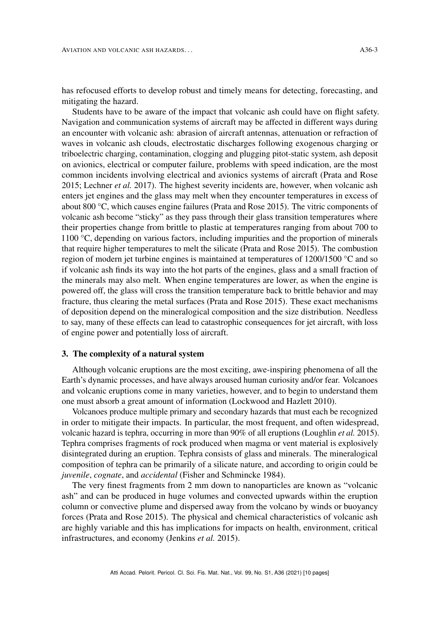has refocused efforts to develop robust and timely means for detecting, forecasting, and mitigating the hazard.

Students have to be aware of the impact that volcanic ash could have on flight safety. Navigation and communication systems of aircraft may be affected in different ways during an encounter with volcanic ash: abrasion of aircraft antennas, attenuation or refraction of waves in volcanic ash clouds, electrostatic discharges following exogenous charging or triboelectric charging, contamination, clogging and plugging pitot-static system, ash deposit on avionics, electrical or computer failure, problems with speed indication, are the most common incidents involving electrical and avionics systems of aircraft (Prata and Rose [2015;](#page-8-4) Lechner *et al.* [2017\)](#page-8-5). The highest severity incidents are, however, when volcanic ash enters jet engines and the glass may melt when they encounter temperatures in excess of about 800 °C, which causes engine failures (Prata and Rose [2015\)](#page-8-4). The vitric components of volcanic ash become "sticky" as they pass through their glass transition temperatures where their properties change from brittle to plastic at temperatures ranging from about 700 to 1100 °C, depending on various factors, including impurities and the proportion of minerals that require higher temperatures to melt the silicate (Prata and Rose [2015\)](#page-8-4). The combustion region of modern jet turbine engines is maintained at temperatures of 1200/1500 °C and so if volcanic ash finds its way into the hot parts of the engines, glass and a small fraction of the minerals may also melt. When engine temperatures are lower, as when the engine is powered off, the glass will cross the transition temperature back to brittle behavior and may fracture, thus clearing the metal surfaces (Prata and Rose [2015\)](#page-8-4). These exact mechanisms of deposition depend on the mineralogical composition and the size distribution. Needless to say, many of these effects can lead to catastrophic consequences for jet aircraft, with loss of engine power and potentially loss of aircraft.

#### 3. The complexity of a natural system

Although volcanic eruptions are the most exciting, awe-inspiring phenomena of all the Earth's dynamic processes, and have always aroused human curiosity and/or fear. Volcanoes and volcanic eruptions come in many varieties, however, and to begin to understand them one must absorb a great amount of information (Lockwood and Hazlett [2010\)](#page-8-6).

Volcanoes produce multiple primary and secondary hazards that must each be recognized in order to mitigate their impacts. In particular, the most frequent, and often widespread, volcanic hazard is tephra, occurring in more than 90% of all eruptions (Loughlin *et al.* [2015\)](#page-8-7). Tephra comprises fragments of rock produced when magma or vent material is explosively disintegrated during an eruption. Tephra consists of glass and minerals. The mineralogical composition of tephra can be primarily of a silicate nature, and according to origin could be *juvenile*, *cognate*, and *accidental* (Fisher and Schmincke [1984\)](#page-7-7).

The very finest fragments from 2 mm down to nanoparticles are known as "volcanic ash" and can be produced in huge volumes and convected upwards within the eruption column or convective plume and dispersed away from the volcano by winds or buoyancy forces (Prata and Rose [2015\)](#page-8-4). The physical and chemical characteristics of volcanic ash are highly variable and this has implications for impacts on health, environment, critical infrastructures, and economy (Jenkins *et al.* [2015\)](#page-8-8).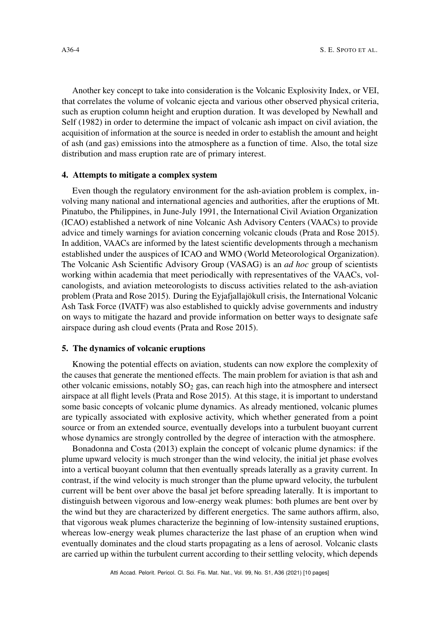Another key concept to take into consideration is the Volcanic Explosivity Index, or VEI, that correlates the volume of volcanic ejecta and various other observed physical criteria, such as eruption column height and eruption duration. It was developed by Newhall and Self [\(1982\)](#page-8-9) in order to determine the impact of volcanic ash impact on civil aviation, the acquisition of information at the source is needed in order to establish the amount and height of ash (and gas) emissions into the atmosphere as a function of time. Also, the total size distribution and mass eruption rate are of primary interest.

### 4. Attempts to mitigate a complex system

Even though the regulatory environment for the ash-aviation problem is complex, involving many national and international agencies and authorities, after the eruptions of Mt. Pinatubo, the Philippines, in June-July 1991, the International Civil Aviation Organization (ICAO) established a network of nine Volcanic Ash Advisory Centers (VAACs) to provide advice and timely warnings for aviation concerning volcanic clouds (Prata and Rose [2015\)](#page-8-4). In addition, VAACs are informed by the latest scientific developments through a mechanism established under the auspices of ICAO and WMO (World Meteorological Organization). The Volcanic Ash Scientific Advisory Group (VASAG) is an *ad hoc* group of scientists working within academia that meet periodically with representatives of the VAACs, volcanologists, and aviation meteorologists to discuss activities related to the ash-aviation problem (Prata and Rose [2015\)](#page-8-4). During the Eyjafjallajökull crisis, the International Volcanic Ash Task Force (IVATF) was also established to quickly advise governments and industry on ways to mitigate the hazard and provide information on better ways to designate safe airspace during ash cloud events (Prata and Rose [2015\)](#page-8-4).

### 5. The dynamics of volcanic eruptions

Knowing the potential effects on aviation, students can now explore the complexity of the causes that generate the mentioned effects. The main problem for aviation is that ash and other volcanic emissions, notably  $SO<sub>2</sub>$  gas, can reach high into the atmosphere and intersect airspace at all flight levels (Prata and Rose [2015\)](#page-8-4). At this stage, it is important to understand some basic concepts of volcanic plume dynamics. As already mentioned, volcanic plumes are typically associated with explosive activity, which whether generated from a point source or from an extended source, eventually develops into a turbulent buoyant current whose dynamics are strongly controlled by the degree of interaction with the atmosphere.

Bonadonna and Costa [\(2013\)](#page-7-8) explain the concept of volcanic plume dynamics: if the plume upward velocity is much stronger than the wind velocity, the initial jet phase evolves into a vertical buoyant column that then eventually spreads laterally as a gravity current. In contrast, if the wind velocity is much stronger than the plume upward velocity, the turbulent current will be bent over above the basal jet before spreading laterally. It is important to distinguish between vigorous and low-energy weak plumes: both plumes are bent over by the wind but they are characterized by different energetics. The same authors affirm, also, that vigorous weak plumes characterize the beginning of low-intensity sustained eruptions, whereas low-energy weak plumes characterize the last phase of an eruption when wind eventually dominates and the cloud starts propagating as a lens of aerosol. Volcanic clasts are carried up within the turbulent current according to their settling velocity, which depends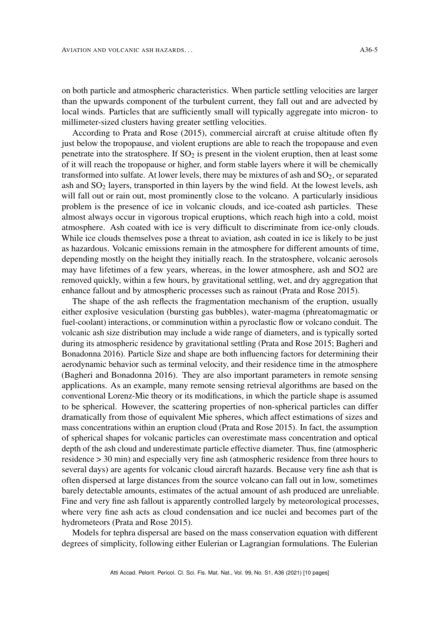on both particle and atmospheric characteristics. When particle settling velocities are larger than the upwards component of the turbulent current, they fall out and are advected by local winds. Particles that are sufficiently small will typically aggregate into micron- to millimeter-sized clusters having greater settling velocities.

According to Prata and Rose [\(2015\)](#page-8-4), commercial aircraft at cruise altitude often fly just below the tropopause, and violent eruptions are able to reach the tropopause and even penetrate into the stratosphere. If  $SO<sub>2</sub>$  is present in the violent eruption, then at least some of it will reach the tropopause or higher, and form stable layers where it will be chemically transformed into sulfate. At lower levels, there may be mixtures of ash and  $SO<sub>2</sub>$ , or separated ash and  $SO<sub>2</sub>$  layers, transported in thin layers by the wind field. At the lowest levels, ash will fall out or rain out, most prominently close to the volcano. A particularly insidious problem is the presence of ice in volcanic clouds, and ice-coated ash particles. These almost always occur in vigorous tropical eruptions, which reach high into a cold, moist atmosphere. Ash coated with ice is very difficult to discriminate from ice-only clouds. While ice clouds themselves pose a threat to aviation, ash coated in ice is likely to be just as hazardous. Volcanic emissions remain in the atmosphere for different amounts of time, depending mostly on the height they initially reach. In the stratosphere, volcanic aerosols may have lifetimes of a few years, whereas, in the lower atmosphere, ash and SO2 are removed quickly, within a few hours, by gravitational settling, wet, and dry aggregation that enhance fallout and by atmospheric processes such as rainout (Prata and Rose [2015\)](#page-8-4).

The shape of the ash reflects the fragmentation mechanism of the eruption, usually either explosive vesiculation (bursting gas bubbles), water-magma (phreatomagmatic or fuel-coolant) interactions, or comminution within a pyroclastic flow or volcano conduit. The volcanic ash size distribution may include a wide range of diameters, and is typically sorted during its atmospheric residence by gravitational settling (Prata and Rose [2015;](#page-8-4) Bagheri and Bonadonna [2016\)](#page-7-9). Particle Size and shape are both influencing factors for determining their aerodynamic behavior such as terminal velocity, and their residence time in the atmosphere (Bagheri and Bonadonna [2016\)](#page-7-9). They are also important parameters in remote sensing applications. As an example, many remote sensing retrieval algorithms are based on the conventional Lorenz-Mie theory or its modifications, in which the particle shape is assumed to be spherical. However, the scattering properties of non-spherical particles can differ dramatically from those of equivalent Mie spheres, which affect estimations of sizes and mass concentrations within an eruption cloud (Prata and Rose [2015\)](#page-8-4). In fact, the assumption of spherical shapes for volcanic particles can overestimate mass concentration and optical depth of the ash cloud and underestimate particle effective diameter. Thus, fine (atmospheric residence > 30 min) and especially very fine ash (atmospheric residence from three hours to several days) are agents for volcanic cloud aircraft hazards. Because very fine ash that is often dispersed at large distances from the source volcano can fall out in low, sometimes barely detectable amounts, estimates of the actual amount of ash produced are unreliable. Fine and very fine ash fallout is apparently controlled largely by meteorological processes, where very fine ash acts as cloud condensation and ice nuclei and becomes part of the hydrometeors (Prata and Rose [2015\)](#page-8-4).

Models for tephra dispersal are based on the mass conservation equation with different degrees of simplicity, following either Eulerian or Lagrangian formulations. The Eulerian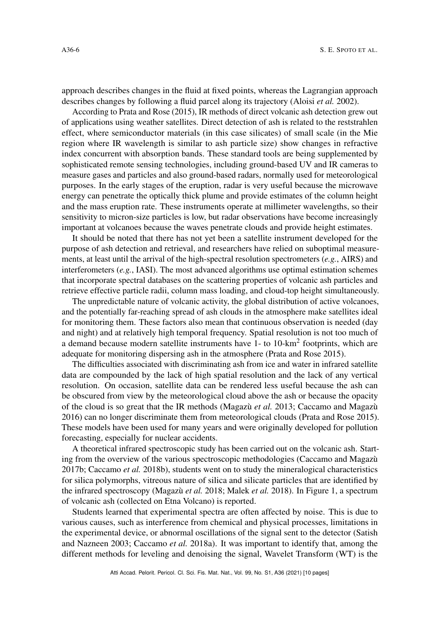approach describes changes in the fluid at fixed points, whereas the Lagrangian approach describes changes by following a fluid parcel along its trajectory (Aloisi *et al.* [2002\)](#page-7-10).

According to Prata and Rose [\(2015\)](#page-8-4), IR methods of direct volcanic ash detection grew out of applications using weather satellites. Direct detection of ash is related to the reststrahlen effect, where semiconductor materials (in this case silicates) of small scale (in the Mie region where IR wavelength is similar to ash particle size) show changes in refractive index concurrent with absorption bands. These standard tools are being supplemented by sophisticated remote sensing technologies, including ground-based UV and IR cameras to measure gases and particles and also ground-based radars, normally used for meteorological purposes. In the early stages of the eruption, radar is very useful because the microwave energy can penetrate the optically thick plume and provide estimates of the column height and the mass eruption rate. These instruments operate at millimeter wavelengths, so their sensitivity to micron-size particles is low, but radar observations have become increasingly important at volcanoes because the waves penetrate clouds and provide height estimates.

It should be noted that there has not yet been a satellite instrument developed for the purpose of ash detection and retrieval, and researchers have relied on suboptimal measurements, at least until the arrival of the high-spectral resolution spectrometers (*e.g.*, AIRS) and interferometers  $(e.g., IASI)$ . The most advanced algorithms use optimal estimation schemes that incorporate spectral databases on the scattering properties of volcanic ash particles and retrieve effective particle radii, column mass loading, and cloud-top height simultaneously.

The unpredictable nature of volcanic activity, the global distribution of active volcanoes, and the potentially far-reaching spread of ash clouds in the atmosphere make satellites ideal for monitoring them. These factors also mean that continuous observation is needed (day and night) and at relatively high temporal frequency. Spatial resolution is not too much of a demand because modern satellite instruments have 1- to 10-km<sup>2</sup> footprints, which are adequate for monitoring dispersing ash in the atmosphere (Prata and Rose [2015\)](#page-8-4).

The difficulties associated with discriminating ash from ice and water in infrared satellite data are compounded by the lack of high spatial resolution and the lack of any vertical resolution. On occasion, satellite data can be rendered less useful because the ash can be obscured from view by the meteorological cloud above the ash or because the opacity of the cloud is so great that the IR methods (Magazù *et al.* [2013;](#page-8-10) Caccamo and Magazù [2016\)](#page-7-11) can no longer discriminate them from meteorological clouds (Prata and Rose [2015\)](#page-8-4). These models have been used for many years and were originally developed for pollution forecasting, especially for nuclear accidents.

A theoretical infrared spectroscopic study has been carried out on the volcanic ash. Starting from the overview of the various spectroscopic methodologies (Caccamo and Magazù [2017b;](#page-7-12) Caccamo *et al.* [2018b\)](#page-7-13), students went on to study the mineralogical characteristics for silica polymorphs, vitreous nature of silica and silicate particles that are identified by the infrared spectroscopy (Magazù *et al.* [2018;](#page-8-11) Malek *et al.* [2018\)](#page-8-12). In Figure [1,](#page-6-0) a spectrum of volcanic ash (collected on Etna Volcano) is reported.

Students learned that experimental spectra are often affected by noise. This is due to various causes, such as interference from chemical and physical processes, limitations in the experimental device, or abnormal oscillations of the signal sent to the detector (Satish and Nazneen [2003;](#page-8-13) Caccamo *et al.* [2018a\)](#page-7-14). It was important to identify that, among the different methods for leveling and denoising the signal, Wavelet Transform (WT) is the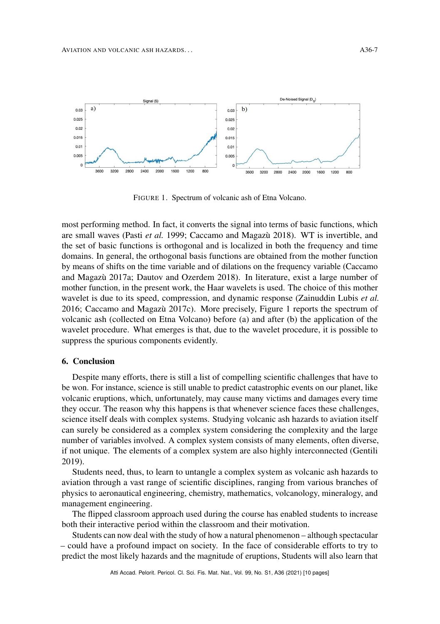<span id="page-6-0"></span>

FIGURE 1. Spectrum of volcanic ash of Etna Volcano.

most performing method. In fact, it converts the signal into terms of basic functions, which are small waves (Pasti *et al.* [1999;](#page-8-14) Caccamo and Magazù [2018\)](#page-7-15). WT is invertible, and the set of basic functions is orthogonal and is localized in both the frequency and time domains. In general, the orthogonal basis functions are obtained from the mother function by means of shifts on the time variable and of dilations on the frequency variable (Caccamo and Magazù [2017a;](#page-7-16) Dautov and Ozerdem [2018\)](#page-7-17). In literature, exist a large number of mother function, in the present work, the Haar wavelets is used. The choice of this mother wavelet is due to its speed, compression, and dynamic response (Zainuddin Lubis *et al.* [2016;](#page-9-1) Caccamo and Magazù [2017c\)](#page-7-18). More precisely, Figure [1](#page-6-0) reports the spectrum of volcanic ash (collected on Etna Volcano) before (a) and after (b) the application of the wavelet procedure. What emerges is that, due to the wavelet procedure, it is possible to suppress the spurious components evidently.

#### 6. Conclusion

Despite many efforts, there is still a list of compelling scientific challenges that have to be won. For instance, science is still unable to predict catastrophic events on our planet, like volcanic eruptions, which, unfortunately, may cause many victims and damages every time they occur. The reason why this happens is that whenever science faces these challenges, science itself deals with complex systems. Studying volcanic ash hazards to aviation itself can surely be considered as a complex system considering the complexity and the large number of variables involved. A complex system consists of many elements, often diverse, if not unique. The elements of a complex system are also highly interconnected (Gentili [2019\)](#page-7-6).

Students need, thus, to learn to untangle a complex system as volcanic ash hazards to aviation through a vast range of scientific disciplines, ranging from various branches of physics to aeronautical engineering, chemistry, mathematics, volcanology, mineralogy, and management engineering.

The flipped classroom approach used during the course has enabled students to increase both their interactive period within the classroom and their motivation.

Students can now deal with the study of how a natural phenomenon – although spectacular – could have a profound impact on society. In the face of considerable efforts to try to predict the most likely hazards and the magnitude of eruptions, Students will also learn that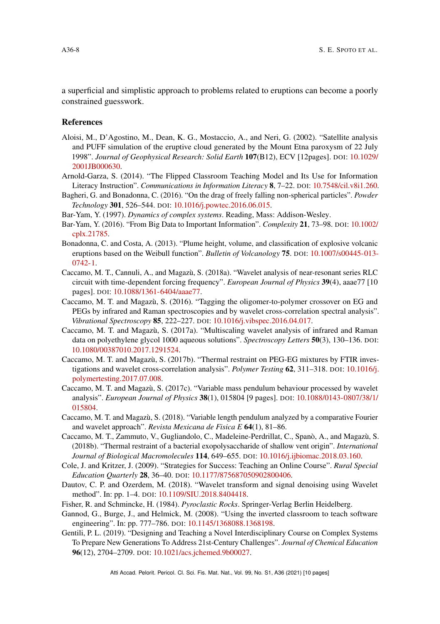a superficial and simplistic approach to problems related to eruptions can become a poorly constrained guesswork.

#### <span id="page-7-0"></span>References

- <span id="page-7-10"></span>Aloisi, M., D'Agostino, M., Dean, K. G., Mostaccio, A., and Neri, G. (2002). "Satellite analysis and PUFF simulation of the eruptive cloud generated by the Mount Etna paroxysm of 22 July 1998". *Journal of Geophysical Research: Solid Earth* 107(B12), ECV [12pages]. DOI: [10.1029/](https://doi.org/10.1029/2001JB000630) [2001JB000630.](https://doi.org/10.1029/2001JB000630)
- <span id="page-7-3"></span>Arnold-Garza, S. (2014). "The Flipped Classroom Teaching Model and Its Use for Information Literacy Instruction". *Communications in Information Literacy* 8, 7–22. DOI: [10.7548/cil.v8i1.260.](https://doi.org/10.7548/cil.v8i1.260)
- <span id="page-7-9"></span>Bagheri, G. and Bonadonna, C. (2016). "On the drag of freely falling non-spherical particles". *Powder Technology* 301, 526–544. DOI: [10.1016/j.powtec.2016.06.015.](https://doi.org/10.1016/j.powtec.2016.06.015)
- <span id="page-7-2"></span>Bar-Yam, Y. (1997). *Dynamics of complex systems*. Reading, Mass: Addison-Wesley.
- <span id="page-7-1"></span>Bar-Yam, Y. (2016). "From Big Data to Important Information". *Complexity* 21, 73–98. DOI: [10.1002/](https://doi.org/10.1002/cplx.21785) [cplx.21785.](https://doi.org/10.1002/cplx.21785)
- <span id="page-7-8"></span>Bonadonna, C. and Costa, A. (2013). "Plume height, volume, and classification of explosive volcanic eruptions based on the Weibull function". *Bulletin of Volcanology* 75. DOI: [10.1007/s00445-013-](https://doi.org/10.1007/s00445-013-0742-1) [0742-1.](https://doi.org/10.1007/s00445-013-0742-1)
- <span id="page-7-14"></span>Caccamo, M. T., Cannuli, A., and Magazù, S. (2018a). "Wavelet analysis of near-resonant series RLC circuit with time-dependent forcing frequency". *European Journal of Physics* 39(4), aaae77 [10 pages]. DOI: [10.1088/1361-6404/aaae77.](https://doi.org/10.1088/1361-6404/aaae77)
- <span id="page-7-11"></span>Caccamo, M. T. and Magazù, S. (2016). "Tagging the oligomer-to-polymer crossover on EG and PEGs by infrared and Raman spectroscopies and by wavelet cross-correlation spectral analysis". *Vibrational Spectroscopy* 85, 222–227. DOI: [10.1016/j.vibspec.2016.04.017.](https://doi.org/10.1016/j.vibspec.2016.04.017)
- <span id="page-7-16"></span>Caccamo, M. T. and Magazù, S. (2017a). "Multiscaling wavelet analysis of infrared and Raman data on polyethylene glycol 1000 aqueous solutions". *Spectroscopy Letters* 50(3), 130–136. DOI: [10.1080/00387010.2017.1291524.](https://doi.org/10.1080/00387010.2017.1291524)
- <span id="page-7-12"></span>Caccamo, M. T. and Magazù, S. (2017b). "Thermal restraint on PEG-EG mixtures by FTIR investigations and wavelet cross-correlation analysis". *Polymer Testing* 62, 311–318. DOI: [10.1016/j.](https://doi.org/10.1016/j.polymertesting.2017.07.008) [polymertesting.2017.07.008.](https://doi.org/10.1016/j.polymertesting.2017.07.008)
- <span id="page-7-18"></span>Caccamo, M. T. and Magazù, S. (2017c). "Variable mass pendulum behaviour processed by wavelet analysis". *European Journal of Physics* 38(1), 015804 [9 pages]. DOI: [10.1088/0143-0807/38/1/](https://doi.org/10.1088/0143-0807/38/1/015804) [015804.](https://doi.org/10.1088/0143-0807/38/1/015804)
- <span id="page-7-15"></span>Caccamo, M. T. and Magazù, S. (2018). "Variable length pendulum analyzed by a comparative Fourier and wavelet approach". *Revista Mexicana de Fisica E* 64(1), 81–86.
- <span id="page-7-13"></span>Caccamo, M. T., Zammuto, V., Gugliandolo, C., Madeleine-Perdrillat, C., Spanò, A., and Magazù, S. (2018b). "Thermal restraint of a bacterial exopolysaccharide of shallow vent origin". *International Journal of Biological Macromolecules* 114, 649–655. DOI: [10.1016/j.ijbiomac.2018.03.160.](https://doi.org/10.1016/j.ijbiomac.2018.03.160)
- <span id="page-7-4"></span>Cole, J. and Kritzer, J. (2009). "Strategies for Success: Teaching an Online Course". *Rural Special Education Quarterly* 28, 36–40. DOI: [10.1177/875687050902800406.](https://doi.org/10.1177/875687050902800406)
- <span id="page-7-17"></span>Dautov, C. P. and Ozerdem, M. (2018). "Wavelet transform and signal denoising using Wavelet method". In: pp. 1–4. DOI: [10.1109/SIU.2018.8404418.](https://doi.org/10.1109/SIU.2018.8404418)
- <span id="page-7-7"></span>Fisher, R. and Schmincke, H. (1984). *Pyroclastic Rocks*. Springer-Verlag Berlin Heidelberg.
- <span id="page-7-5"></span>Gannod, G., Burge, J., and Helmick, M. (2008). "Using the inverted classroom to teach software engineering". In: pp. 777–786. DOI: [10.1145/1368088.1368198.](https://doi.org/10.1145/1368088.1368198)
- <span id="page-7-6"></span>Gentili, P. L. (2019). "Designing and Teaching a Novel Interdisciplinary Course on Complex Systems To Prepare New Generations To Address 21st-Century Challenges". *Journal of Chemical Education* 96(12), 2704–2709. DOI: [10.1021/acs.jchemed.9b00027.](https://doi.org/10.1021/acs.jchemed.9b00027)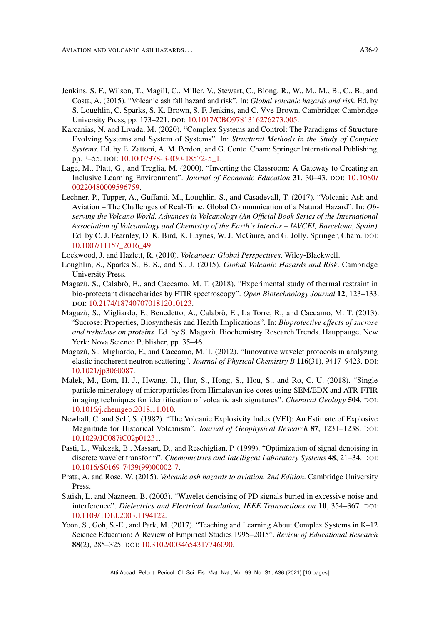- 
- <span id="page-8-8"></span>Jenkins, S. F., Wilson, T., Magill, C., Miller, V., Stewart, C., Blong, R., W., M., M., B., C., B., and Costa, A. (2015). "Volcanic ash fall hazard and risk". In: *Global volcanic hazards and risk*. Ed. by S. Loughlin, C. Sparks, S. K. Brown, S. F. Jenkins, and C. Vye-Brown. Cambridge: Cambridge University Press, pp. 173–221. DOI: [10.1017/CBO9781316276273.005.](https://doi.org/10.1017/CBO9781316276273.005)
- <span id="page-8-0"></span>Karcanias, N. and Livada, M. (2020). "Complex Systems and Control: The Paradigms of Structure Evolving Systems and System of Systems". In: *Structural Methods in the Study of Complex Systems*. Ed. by E. Zattoni, A. M. Perdon, and G. Conte. Cham: Springer International Publishing, pp. 3–55. DOI: [10.1007/978-3-030-18572-5\\_1.](https://doi.org/10.1007/978-3-030-18572-5_1)
- <span id="page-8-3"></span>Lage, M., Platt, G., and Treglia, M. (2000). "Inverting the Classroom: A Gateway to Creating an Inclusive Learning Environment". *Journal of Economic Education* 31, 30–43. DOI: [10.1080/](https://doi.org/10.1080/00220480009596759) [00220480009596759.](https://doi.org/10.1080/00220480009596759)
- <span id="page-8-5"></span>Lechner, P., Tupper, A., Guffanti, M., Loughlin, S., and Casadevall, T. (2017). "Volcanic Ash and Aviation – The Challenges of Real-Time, Global Communication of a Natural Hazard". In: *Observing the Volcano World. Advances in Volcanology (An Official Book Series of the International Association of Volcanology and Chemistry of the Earth's Interior – IAVCEI, Barcelona, Spain)*. Ed. by C. J. Fearnley, D. K. Bird, K. Haynes, W. J. McGuire, and G. Jolly. Springer, Cham. DOI: [10.1007/11157\\_2016\\_49.](https://doi.org/10.1007/11157_2016_49)
- <span id="page-8-6"></span>Lockwood, J. and Hazlett, R. (2010). *Volcanoes: Global Perspectives*. Wiley-Blackwell.
- <span id="page-8-7"></span>Loughlin, S., Sparks S., B. S., and S., J. (2015). *Global Volcanic Hazards and Risk*. Cambridge University Press.
- <span id="page-8-11"></span>Magazù, S., Calabrò, E., and Caccamo, M. T. (2018). "Experimental study of thermal restraint in bio-protectant disaccharides by FTIR spectroscopy". *Open Biotechnology Journal* 12, 123–133. DOI: [10.2174/1874070701812010123.](https://doi.org/10.2174/1874070701812010123)
- <span id="page-8-10"></span>Magazù, S., Migliardo, F., Benedetto, A., Calabrò, E., La Torre, R., and Caccamo, M. T. (2013). "Sucrose: Properties, Biosynthesis and Health Implications". In: *Bioprotective effects of sucrose and trehalose on proteins*. Ed. by S. Magazù. Biochemistry Research Trends. Hauppauge, New York: Nova Science Publisher, pp. 35–46.
- <span id="page-8-1"></span>Magazù, S., Migliardo, F., and Caccamo, M. T. (2012). "Innovative wavelet protocols in analyzing elastic incoherent neutron scattering". *Journal of Physical Chemistry B* 116(31), 9417–9423. DOI: [10.1021/jp3060087.](https://doi.org/10.1021/jp3060087)
- <span id="page-8-12"></span>Malek, M., Eom, H.-J., Hwang, H., Hur, S., Hong, S., Hou, S., and Ro, C.-U. (2018). "Single particle mineralogy of microparticles from Himalayan ice-cores using SEM/EDX and ATR-FTIR imaging techniques for identification of volcanic ash signatures". *Chemical Geology* 504. DOI: [10.1016/j.chemgeo.2018.11.010.](https://doi.org/10.1016/j.chemgeo.2018.11.010)
- <span id="page-8-9"></span>Newhall, C. and Self, S. (1982). "The Volcanic Explosivity Index (VEI): An Estimate of Explosive Magnitude for Historical Volcanism". *Journal of Geophysical Research* 87, 1231–1238. DOI: [10.1029/JC087iC02p01231.](https://doi.org/10.1029/JC087iC02p01231)
- <span id="page-8-14"></span>Pasti, L., Walczak, B., Massart, D., and Reschiglian, P. (1999). "Optimization of signal denoising in discrete wavelet transform". *Chemometrics and Intelligent Laboratory Systems* 48, 21–34. DOI: [10.1016/S0169-7439\(99\)00002-7.](https://doi.org/10.1016/S0169-7439(99)00002-7)
- <span id="page-8-4"></span>Prata, A. and Rose, W. (2015). *Volcanic ash hazards to aviation, 2nd Edition*. Cambridge University Press.
- <span id="page-8-13"></span>Satish, L. and Nazneen, B. (2003). "Wavelet denoising of PD signals buried in excessive noise and interference". *Dielectrics and Electrical Insulation, IEEE Transactions on* 10, 354–367. DOI: [10.1109/TDEI.2003.1194122.](https://doi.org/10.1109/TDEI.2003.1194122)
- <span id="page-8-2"></span>Yoon, S., Goh, S.-E., and Park, M. (2017). "Teaching and Learning About Complex Systems in K–12 Science Education: A Review of Empirical Studies 1995–2015". *Review of Educational Research* 88(2), 285–325. DOI: [10.3102/0034654317746090.](https://doi.org/10.3102/0034654317746090)